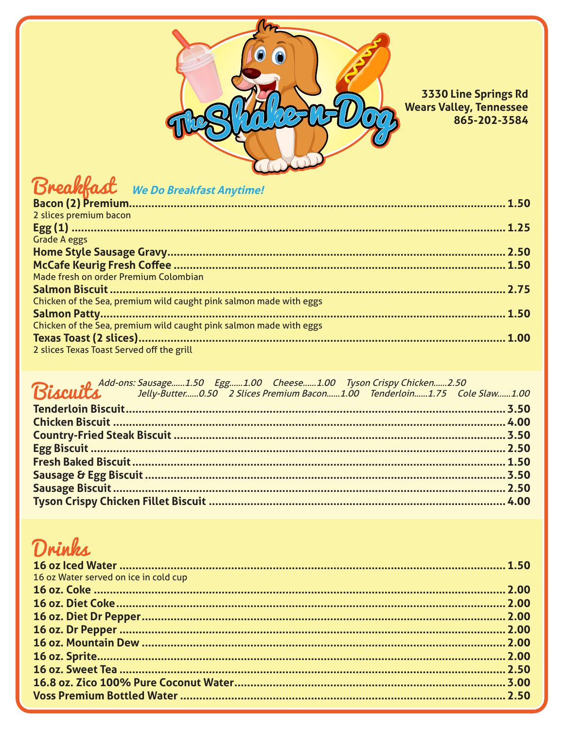

3330 Line Springs Rd **Wears Valley, Tennessee** 865-202-3584

### Breakfast We Do Breakfast Anytime!

| 2 slices premium bacon                                             |  |
|--------------------------------------------------------------------|--|
|                                                                    |  |
| <b>Grade A eggs</b>                                                |  |
|                                                                    |  |
|                                                                    |  |
| Made fresh on order Premium Colombian                              |  |
|                                                                    |  |
| Chicken of the Sea, premium wild caught pink salmon made with eggs |  |
|                                                                    |  |
| Chicken of the Sea, premium wild caught pink salmon made with eggs |  |
|                                                                    |  |
| 2 slices Texas Toast Served off the grill                          |  |
|                                                                    |  |

. Add-ons: Sausage......1.50 Egg......1.00 Cheese......1.00 Tyson Crispy Chicken......2.50

|  | Biscuits Jelly-Butter0.50 2 Slices Premium Bacon1.00 Tenderloin1.75 Cole Slaw1.00 |  |
|--|-----------------------------------------------------------------------------------|--|
|  |                                                                                   |  |
|  |                                                                                   |  |
|  |                                                                                   |  |
|  |                                                                                   |  |
|  |                                                                                   |  |
|  |                                                                                   |  |
|  |                                                                                   |  |
|  |                                                                                   |  |
|  |                                                                                   |  |

### Drinks

| 16 oz Water served on ice in cold cup |  |
|---------------------------------------|--|
|                                       |  |
|                                       |  |
|                                       |  |
|                                       |  |
|                                       |  |
|                                       |  |
|                                       |  |
|                                       |  |
|                                       |  |